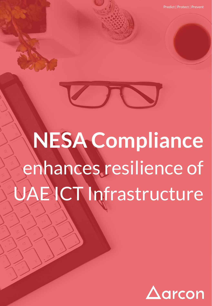Predict | Protect | Prevent



# **NESA Compliance**  enhances resilience of CT Infrastructure

ww.arconnect.com | Copyright @ 2018

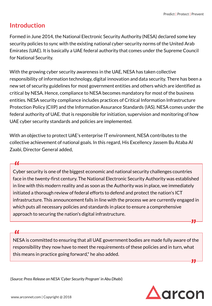## **Introduction**

Formed in June 2014, the National Electronic Security Authority (NESA) declared some key security policies to sync with the existing national cyber-security norms of the United Arab Emirates (UAE). It is basically a UAE federal authority that comes under the Supreme Council for National Security.

With the growing cyber security awareness in the UAE, NESA has taken collective responsibility of information technology, digital innovation and data security. There has been a new set of security guidelines for most government entities and others which are identified as critical by NESA. Hence, compliance to NESA becomes mandatory for most of the business entities. NESA security compliance includes practices of Critical Information Infrastructure Protection Policy (CIIP) and the Information Assurance Standards (IAS). NESA comes under the federal authority of UAE. that is responsible for initiation, supervision and monitoring of how UAE cyber security standards and policies are implemented.

With an objective to protect UAE's enterprise lT environment, NESA contributes to the collective achievement of national goals. In this regard, His Excellency Jassem Bu Ataba Al Zaabi, Director General added,

Cyber security is one of the biggest economic and national security challenges countries **"** face in the twenty-first century. The National Electronic Security Authority was established in line with this modern reality and as soon as the Authority was in place, we immediately initiated a thorough review of federal efforts to defend and protect the nation's ICT infrastructure. This announcement falls in line with the process we are currently engaged in which puts all necessary policies and standards in place to ensure a comprehensive approach to securing the nation's digital infrastructure.

NESA is committed to ensuring that all UAE government bodies are made fully aware of the **"** responsibility they now have to meet the requirements of these policies and in turn, what this means in practice going forward," he also added. **"**

(*Source: Press Release on NESA 'Cyber Security Program' in Abu Dhabi*)



**"**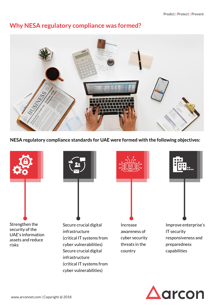## **Why NESA regulatory compliance was formed?**



**NESA regulatory compliance standards for UAE were formed with the following objectives:**



cyber vulnerabilities)

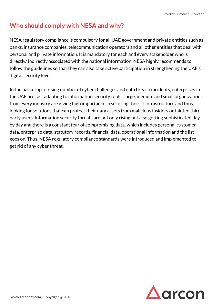## **Who should comply with NESA and why?**

NESA regulatory compliance is compulsory for all UAE government and private entities such as banks, insurance companies, telecommunication operators and all other entities that deal with personal and private information. It is mandatory for each and every stakeholder who is directly/ indirectly associated with the national information. NESA highly recommends to follow the guidelines so that they can also take active participation in strengthening the UAE's digital security level.

In the backdrop of rising number of cyber challenges and data breach incidents, enterprises in the UAE are fast adapting to information security tools. Large, medium and small organizations from every industry are giving high importance in securing their IT infrastructure and thus looking for solutions that can protect their data assets from malicious insiders or tainted third party users. Information security threats are not only rising but also getting sophisticated day by day and there is a constant fear of compromising data, which includes personal customer data, enterprise data, statutory records, financial data, operational information and the list goes on. Thus, NESA regulatory compliance standards were introduced and implemented to get rid of any cyber threat.

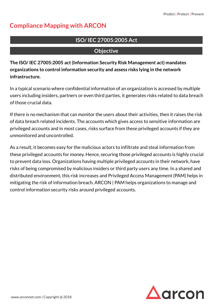## **Compliance Mapping with ARCON**

## **ISO/ IEC 27005:2005 Act**

### **Objective**

**The ISO/ IEC 27005:2005 act (Information Security Risk Management act) mandates organizations to control information security and assess risks lying in the network infrastructure.** 

In a typical scenario where confidential information of an organization is accessed by multiple users including insiders, partners or even third parties, it generates risks related to data breach of those crucial data.

If there is no mechanism that can monitor the users about their activities, then it raises the risk of data breach related incidents. The accounts which gives access to sensitive information are privileged accounts and in most cases, risks surface from these privileged accounts if they are unmonitored and uncontrolled.

As a result, it becomes easy for the malicious actors to infiltrate and steal information from these privileged accounts for money. Hence, securing those privileged accounts is highly crucial to prevent data loss. Organizations having multiple privileged accounts in their network, have risks of being compromised by malicious insiders or third party users any time. In a shared and distributed environment, this risk increases and Privileged Access Management (PAM) helps in mitigating the risk of information breach. ARCON | PAM helps organizations to manage and control information security risks around privileged accounts.

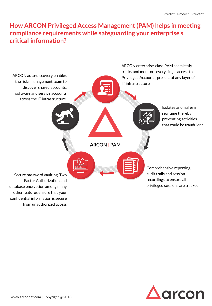## **How ARCON Privileged Access Management (PAM) helps in meeting compliance requirements while safeguarding your enterprise's critical information?**



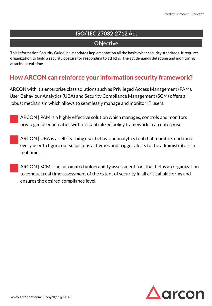## **ISO/ IEC 27032:2712 Act**

## **Objective**

This Information Security Guideline mandates implementation all the basic cyber security standards. It requires organization to build a security posture for responding to attacks. The act demands detecting and monitoring attacks in real-time.

## **How ARCON can reinforce your information security framework?**

ARCON with it's enterprise class solutions such as Privileged Access Management (PAM), User Behaviour Analytics (UBA) and Security Compliance Management (SCM) offers a robust mechanism which allows to seamlessly manage and monitor IT users.

 ARCON | PAM is a highly effective solution which manages, controls and monitors privileged user activities within a centralized policy framework in an enterprise.

 ARCON | UBA is a self-learning user behaviour analytics tool that monitors each and every user to figure out suspicious activities and trigger alerts to the administrators in real time.

 ARCON | SCM is an automated vulnerability assessment tool that helps an organization to conduct real time assessment of the extent of security in all critical platforms and ensures the desired compliance level.

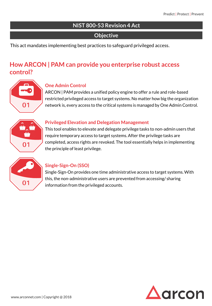### **NIST 800-53 Revision 4 Act**

#### **Objective**

This act mandates implementing best practices to safeguard privileged access.

## **How ARCON | PAM can provide you enterprise robust access control?**



#### **One Admin Control**

ARCON | PAM provides a unified policy engine to offer a rule and role-based restricted privileged access to target systems. No matter how big the organization network is, every access to the critical systems is managed by One Admin Control.



#### **Privileged Elevation and Delegation Management**

This tool enables to elevate and delegate privilege tasks to non-admin users that require temporary access to target systems. After the privilege tasks are completed, access rights are revoked. The tool essentially helps in implementing the principle of least privilege.



#### **Single-Sign-On (SSO)**

Single-Sign-On provides one time administrative access to target systems. With this, the non-administrative users are prevented from accessing/ sharing information from the privileged accounts.

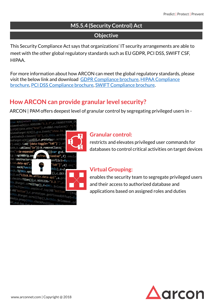## **M5.5.4 (Security Control) Act**

#### **Objective**

This Security Compliance Act says that organizations' IT security arrangements are able to meet with the other global regulatory standards such as EU GDPR, PCI DSS, SWIFT CSF, HIPAA.

For more information about how ARCON can meet the global regulatory standards, please [visit the below link and download G](https://www.arconnet.com/solutions/by-compliance/hipaa-compliance)[DPR Compliance brochur](https://www.arconnet.com/solutions/by-compliance/gdpr)[e, HIPAA Compliance](https://www.arconnet.com/solutions/by-compliance/hipaa-compliance) brochure, [PCI DSS Compliance brochure](https://www.arconnet.com/solutions/by-compliance/pci-dss-compliance), [SWIFT Compliance brochure](https://www.arconnet.com/solutions/by-compliance/swift-cscf).

## **How ARCON can provide granular level security?**

ARCON | PAM offers deepest level of granular control by segregating privileged users in -



## **Granular control:**

restricts and elevates privileged user commands for databases to control critical activities on target devices

## **Virtual Grouping:**

enables the security team to segregate privileged users and their access to authorized database and applications based on assigned roles and duties

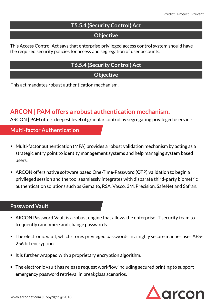## **T5.5.4 (Security Control) Act**

#### **Objective**

This Access Control Act says that enterprise privileged access control system should have the required security policies for access and segregation of user accounts.

#### **T6.5.4 (Security Control) Act**

**Objective**

This act mandates robust authentication mechanism.

## **ARCON | PAM offers a robust authentication mechanism.**

ARCON | PAM offers deepest level of granular control by segregating privileged users in -

#### **Multi-factor Authentication**

- Multi-factor authentication (MFA) provides a robust validation mechanism by acting as a strategic entry point to identity management systems and help managing system based users.
- ARCON offers native software based One-Time-Password (OTP) validation to begin a privileged session and the tool seamlessly integrates with disparate third-party biometric authentication solutions such as Gemalto, RSA, Vasco, 3M, Precision, SafeNet and Safran.

#### **Password Vault**

- ARCON Password Vault is a robust engine that allows the enterprise IT security team to frequently randomize and change passwords.
- The electronic vault, which stores privileged passwords in a highly secure manner uses AES-256 bit encryption.
- It is further wrapped with a proprietary encryption algorithm.
- The electronic vault has release request workflow including secured printing to support emergency password retrieval in breakglass scenarios.

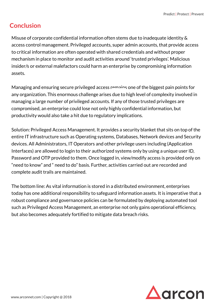## **Conclusion**

Misuse of corporate confidential information often stems due to inadequate identity & access control management. Privileged accounts, super admin accounts, that provide access to critical information are often operated with shared credentials and without proper mechanism in place to monitor and audit activities around 'trusted privileges'. Malicious insider/s or external malefactors could harm an enterprise by compromising information assets.

Managing and ensuring secure privileged access remains one of the biggest pain points for any organization. This enormous challenge arises due to high level of complexity involved in managing a large number of privileged accounts. If any of those trusted privileges are compromised, an enterprise could lose not only highly confidential information, but productivity would also take a hit due to regulatory implications.

Solution: Privileged Access Management. It provides a security blanket that sits on top of the entire IT infrastructure such as Operating systems, Databases, Network devices and Security devices. All Administrators, IT Operators and other privilege users including (Application Interfaces) are allowed to login to their authorized systems only by using a unique user ID, Password and OTP provided to them. Once logged in, view/modify access is provided only on "need to know" and " need to do" basis. Further, activities carried out are recorded and complete audit trails are maintained.

The bottom line: As vital information is stored in a distributed environment, enterprises today has one additional responsibility to safeguard information assets. It is imperative that a robust compliance and governance policies can be formulated by deploying automated tool such as Privileged Access Management, an enterprise not only gains operational efficiency, but also becomes adequately fortified to mitigate data breach risks.